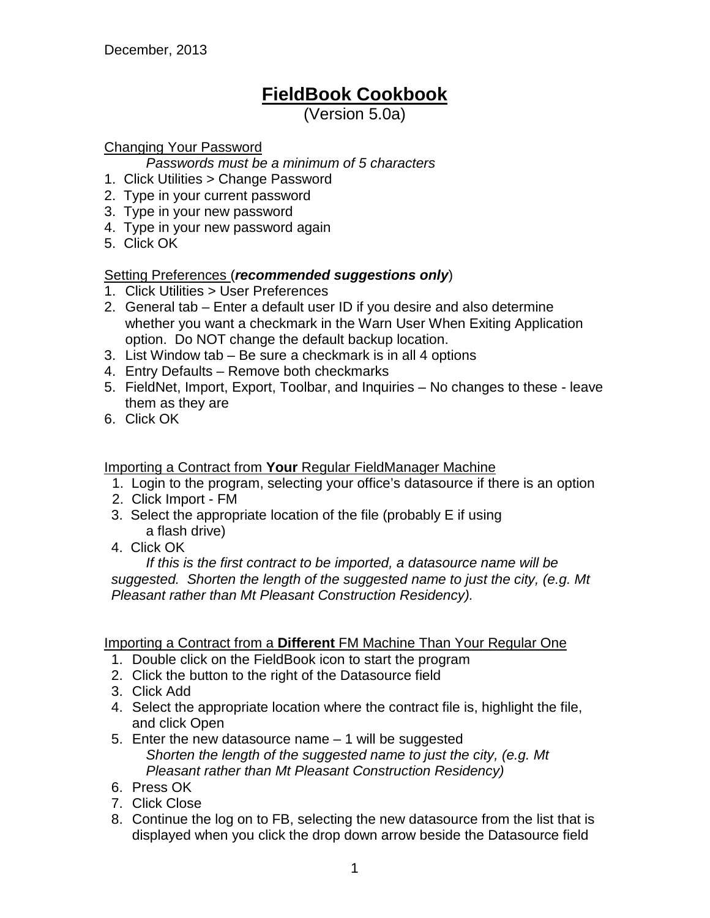# **FieldBook Cookbook**

(Version 5.0a)

# Changing Your Password

*Passwords must be a minimum of 5 characters*

- 1. Click Utilities > Change Password
- 2. Type in your current password
- 3. Type in your new password
- 4. Type in your new password again
- 5. Click OK

# Setting Preferences (*recommended suggestions only*)

- 1. Click Utilities > User Preferences
- 2. General tab Enter a default user ID if you desire and also determine whether you want a checkmark in the Warn User When Exiting Application option. Do NOT change the default backup location.
- 3. List Window tab Be sure a checkmark is in all 4 options
- 4. Entry Defaults Remove both checkmarks
- 5. FieldNet, Import, Export, Toolbar, and Inquiries No changes to these leave them as they are
- 6. Click OK

Importing a Contract from **Your** Regular FieldManager Machine

- 1. Login to the program, selecting your office's datasource if there is an option
- 2. Click Import FM
- 3. Select the appropriate location of the file (probably E if using a flash drive)
- 4. Click OK

*If this is the first contract to be imported, a datasource name will be suggested. Shorten the length of the suggested name to just the city, (e.g. Mt Pleasant rather than Mt Pleasant Construction Residency).*

# Importing a Contract from a **Different** FM Machine Than Your Regular One

- 1. Double click on the FieldBook icon to start the program
- 2. Click the button to the right of the Datasource field
- 3. Click Add
- 4. Select the appropriate location where the contract file is, highlight the file, and click Open
- 5. Enter the new datasource name 1 will be suggested *Shorten the length of the suggested name to just the city, (e.g. Mt Pleasant rather than Mt Pleasant Construction Residency)*
- 6. Press OK
- 7. Click Close
- 8. Continue the log on to FB, selecting the new datasource from the list that is displayed when you click the drop down arrow beside the Datasource field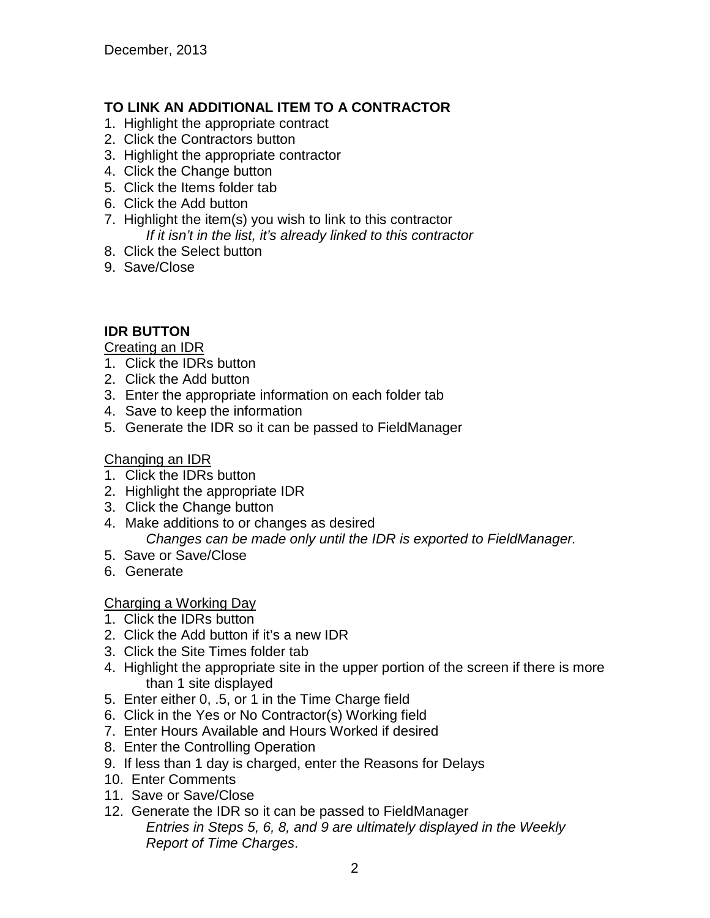# **TO LINK AN ADDITIONAL ITEM TO A CONTRACTOR**

- 1. Highlight the appropriate contract
- 2. Click the Contractors button
- 3. Highlight the appropriate contractor
- 4. Click the Change button
- 5. Click the Items folder tab
- 6. Click the Add button
- 7. Highlight the item(s) you wish to link to this contractor *If it isn't in the list, it's already linked to this contractor*
- 8. Click the Select button
- 9. Save/Close

# **IDR BUTTON**

#### Creating an IDR

- 1. Click the IDRs button
- 2. Click the Add button
- 3. Enter the appropriate information on each folder tab
- 4. Save to keep the information
- 5. Generate the IDR so it can be passed to FieldManager

# Changing an IDR

- 1. Click the IDRs button
- 2. Highlight the appropriate IDR
- 3. Click the Change button
- 4. Make additions to or changes as desired *Changes can be made only until the IDR is exported to FieldManager.*
- 5. Save or Save/Close
- 6. Generate

# Charging a Working Day

- 1. Click the IDRs button
- 2. Click the Add button if it's a new IDR
- 3. Click the Site Times folder tab
- 4. Highlight the appropriate site in the upper portion of the screen if there is more than 1 site displayed
- 5. Enter either 0, .5, or 1 in the Time Charge field
- 6. Click in the Yes or No Contractor(s) Working field
- 7. Enter Hours Available and Hours Worked if desired
- 8. Enter the Controlling Operation
- 9. If less than 1 day is charged, enter the Reasons for Delays
- 10. Enter Comments
- 11. Save or Save/Close
- 12. Generate the IDR so it can be passed to FieldManager *Entries in Steps 5, 6, 8, and 9 are ultimately displayed in the Weekly Report of Time Charges*.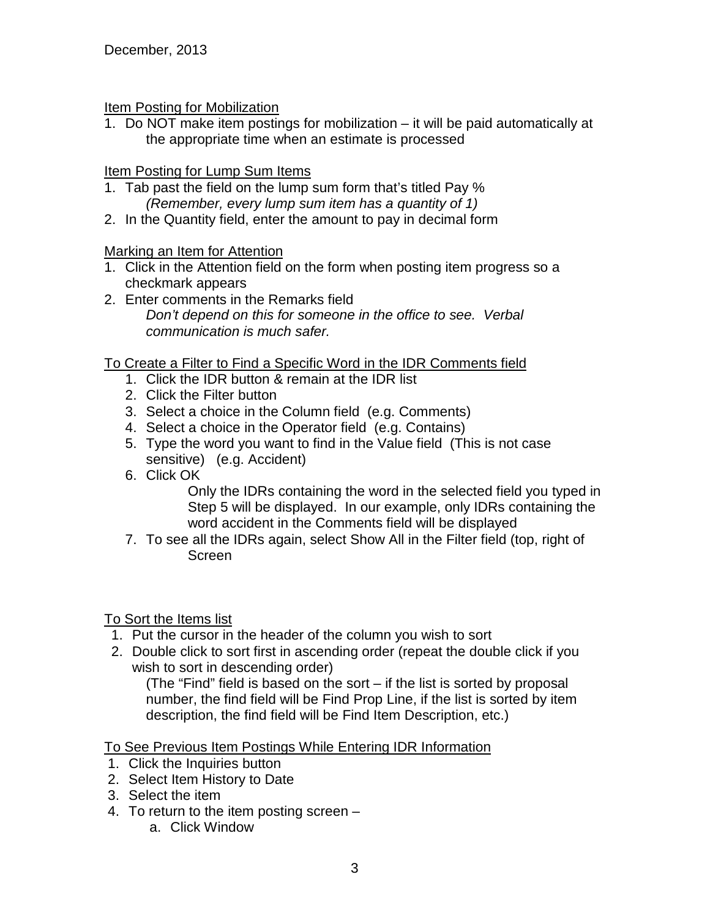#### **Item Posting for Mobilization**

1. Do NOT make item postings for mobilization – it will be paid automatically at the appropriate time when an estimate is processed

# Item Posting for Lump Sum Items

- 1. Tab past the field on the lump sum form that's titled Pay % *(Remember, every lump sum item has a quantity of 1)*
- 2. In the Quantity field, enter the amount to pay in decimal form

# Marking an Item for Attention

- 1. Click in the Attention field on the form when posting item progress so a checkmark appears
- 2. Enter comments in the Remarks field *Don't depend on this for someone in the office to see. Verbal communication is much safer.*

# To Create a Filter to Find a Specific Word in the IDR Comments field

- 1. Click the IDR button & remain at the IDR list
- 2. Click the Filter button
- 3. Select a choice in the Column field (e.g. Comments)
- 4. Select a choice in the Operator field (e.g. Contains)
- 5. Type the word you want to find in the Value field (This is not case sensitive) (e.g. Accident)
- 6. Click OK

Only the IDRs containing the word in the selected field you typed in Step 5 will be displayed. In our example, only IDRs containing the word accident in the Comments field will be displayed

7. To see all the IDRs again, select Show All in the Filter field (top, right of Screen

#### To Sort the Items list

- 1. Put the cursor in the header of the column you wish to sort
- 2. Double click to sort first in ascending order (repeat the double click if you wish to sort in descending order)

(The "Find" field is based on the sort – if the list is sorted by proposal number, the find field will be Find Prop Line, if the list is sorted by item description, the find field will be Find Item Description, etc.)

# To See Previous Item Postings While Entering IDR Information

- 1. Click the Inquiries button
- 2. Select Item History to Date
- 3. Select the item
- 4. To return to the item posting screen
	- a. Click Window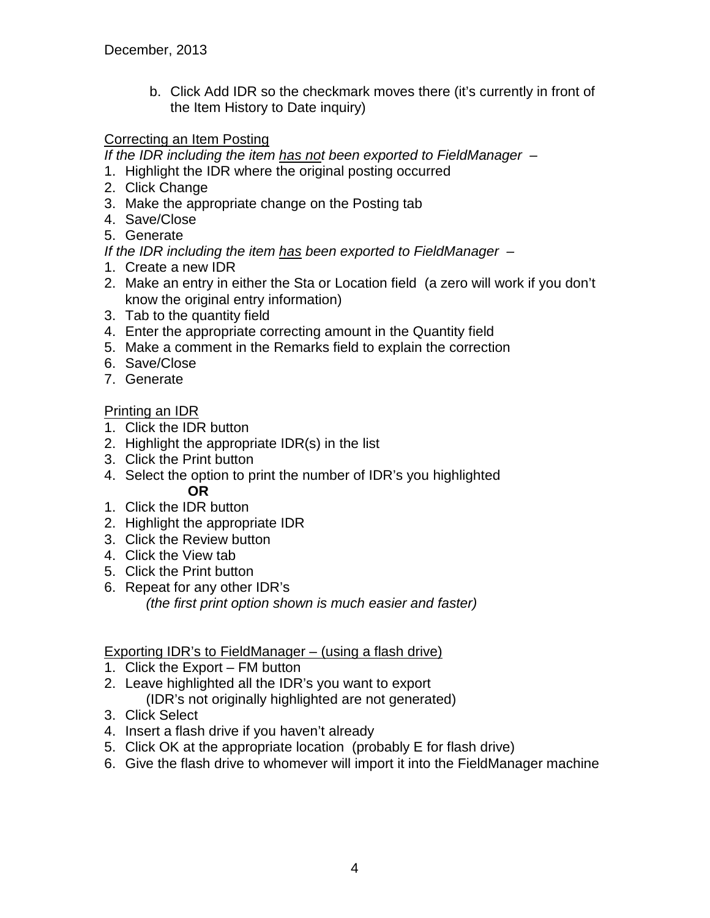b. Click Add IDR so the checkmark moves there (it's currently in front of the Item History to Date inquiry)

# Correcting an Item Posting

*If the IDR including the item has not been exported to FieldManager –*

- 1. Highlight the IDR where the original posting occurred
- 2. Click Change
- 3. Make the appropriate change on the Posting tab
- 4. Save/Close
- 5. Generate

*If the IDR including the item has been exported to FieldManager –*

- 1. Create a new IDR
- 2. Make an entry in either the Sta or Location field (a zero will work if you don't know the original entry information)
- 3. Tab to the quantity field
- 4. Enter the appropriate correcting amount in the Quantity field
- 5. Make a comment in the Remarks field to explain the correction
- 6. Save/Close
- 7. Generate

# Printing an IDR

- 1. Click the IDR button
- 2. Highlight the appropriate IDR(s) in the list
- 3. Click the Print button
- 4. Select the option to print the number of IDR's you highlighted **OR**
- 1. Click the IDR button
- 2. Highlight the appropriate IDR
- 3. Click the Review button
- 4. Click the View tab
- 5. Click the Print button
- 6. Repeat for any other IDR's *(the first print option shown is much easier and faster)*

# Exporting IDR's to FieldManager – (using a flash drive)

- 1. Click the Export FM button
- 2. Leave highlighted all the IDR's you want to export (IDR's not originally highlighted are not generated)
- 3. Click Select
- 4. Insert a flash drive if you haven't already
- 5. Click OK at the appropriate location (probably E for flash drive)
- 6. Give the flash drive to whomever will import it into the FieldManager machine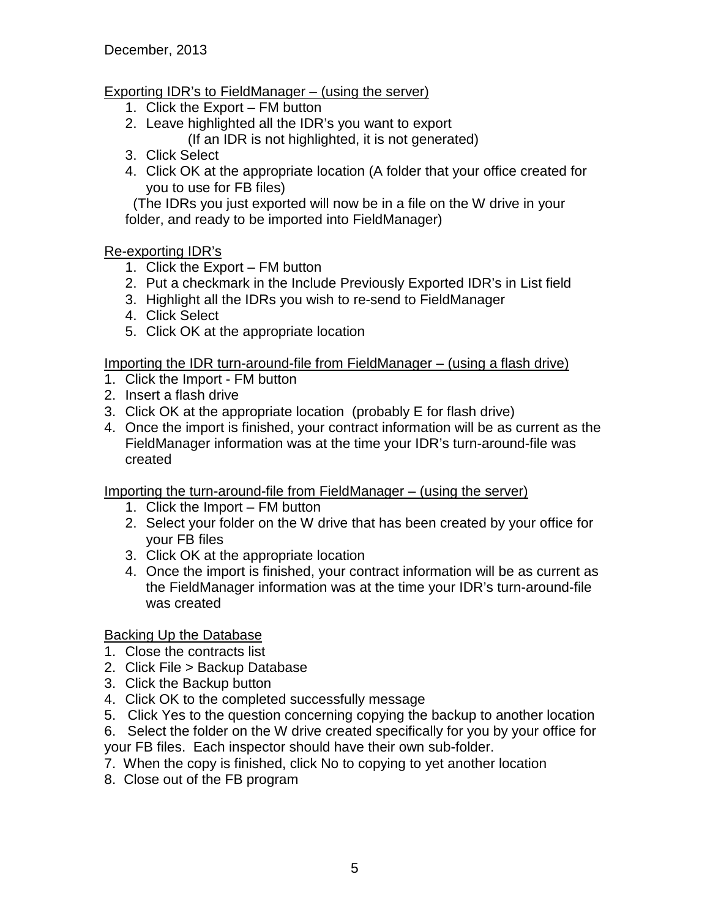# Exporting IDR's to FieldManager – (using the server)

- 1. Click the Export FM button
- 2. Leave highlighted all the IDR's you want to export (If an IDR is not highlighted, it is not generated)
- 3. Click Select
- 4. Click OK at the appropriate location (A folder that your office created for you to use for FB files)

 (The IDRs you just exported will now be in a file on the W drive in your folder, and ready to be imported into FieldManager)

# Re-exporting IDR's

- 1. Click the Export FM button
- 2. Put a checkmark in the Include Previously Exported IDR's in List field
- 3. Highlight all the IDRs you wish to re-send to FieldManager
- 4. Click Select
- 5. Click OK at the appropriate location

Importing the IDR turn-around-file from FieldManager – (using a flash drive)

- 1. Click the Import FM button
- 2. Insert a flash drive
- 3. Click OK at the appropriate location (probably E for flash drive)
- 4. Once the import is finished, your contract information will be as current as the FieldManager information was at the time your IDR's turn-around-file was created

Importing the turn-around-file from FieldManager – (using the server)

- 1. Click the Import FM button
- 2. Select your folder on the W drive that has been created by your office for your FB files
- 3. Click OK at the appropriate location
- 4. Once the import is finished, your contract information will be as current as the FieldManager information was at the time your IDR's turn-around-file was created

Backing Up the Database

- 1. Close the contracts list
- 2. Click File > Backup Database
- 3. Click the Backup button
- 4. Click OK to the completed successfully message
- 5. Click Yes to the question concerning copying the backup to another location
- 6. Select the folder on the W drive created specifically for you by your office for your FB files. Each inspector should have their own sub-folder.
- 7. When the copy is finished, click No to copying to yet another location
- 8. Close out of the FB program